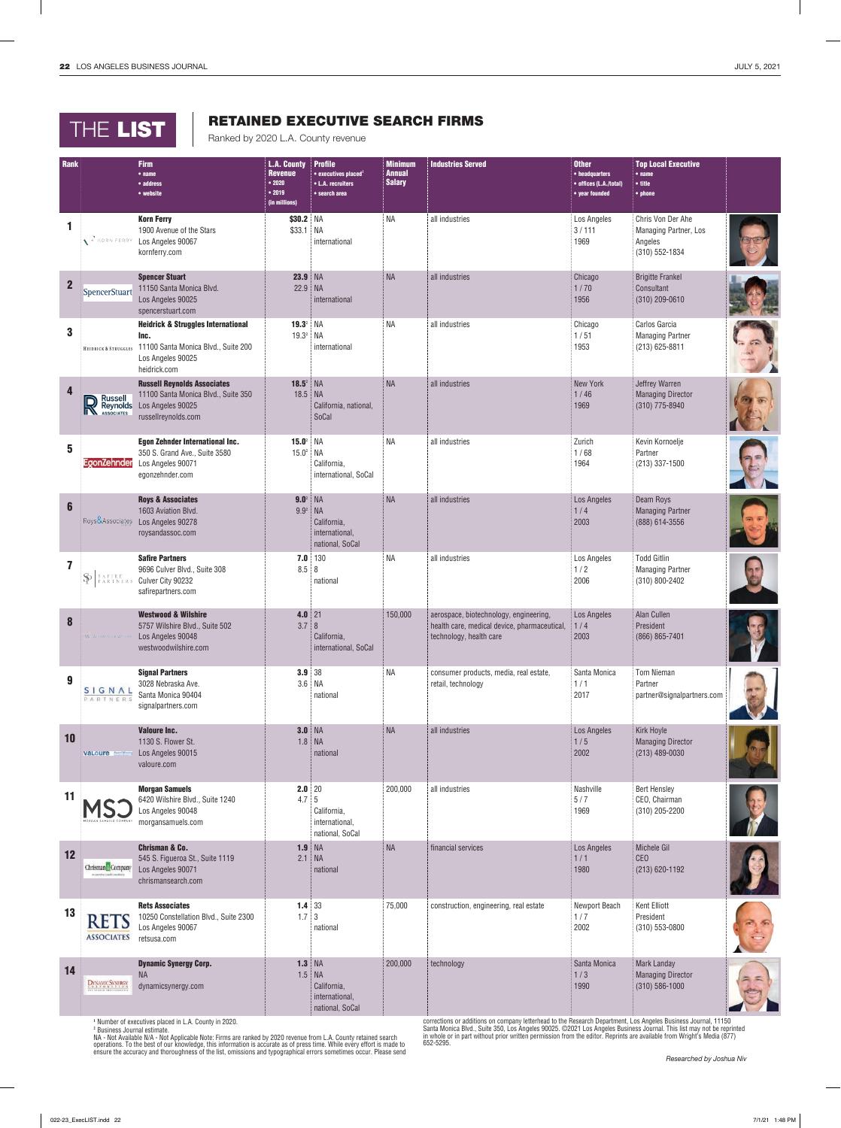## THE LIST **RETAINED EXECUTIVE**

## RETAINED EXECUTIVE SEARCH FIRMS

| Rank                    |                                                                                                                                                                                                                       | <b>Firm</b><br>$•$ name<br>• address<br>• website                                                                                 | <b>L.A. County</b><br><b>Revenue</b><br>•2020<br>• 2019<br>(in millions) | <b>Profile</b><br>$\bullet$ executives placed <sup>1</sup><br>• L.A. recruiters<br>• search area | <b>Minimum</b><br><b>Annual</b><br><b>Salary</b> | <b>Industries Served</b>                                                                                                     | <b>Other</b><br>• headquarters<br>• offices (L.A./total)<br>• year founded | <b>Top Local Executive</b><br>$•$ name<br>$\bullet$ title<br>• phone    |  |
|-------------------------|-----------------------------------------------------------------------------------------------------------------------------------------------------------------------------------------------------------------------|-----------------------------------------------------------------------------------------------------------------------------------|--------------------------------------------------------------------------|--------------------------------------------------------------------------------------------------|--------------------------------------------------|------------------------------------------------------------------------------------------------------------------------------|----------------------------------------------------------------------------|-------------------------------------------------------------------------|--|
| 1                       | $\left\langle \right $ KORN FERRY                                                                                                                                                                                     | <b>Korn Ferry</b><br>1900 Avenue of the Stars<br>Los Angeles 90067<br>kornferry.com                                               | \$30.2 NA<br>\$33.1                                                      | NA<br>international                                                                              | NA                                               | all industries                                                                                                               | Los Angeles<br>3/111<br>1969                                               | Chris Von Der Ahe<br>Managing Partner, Los<br>Angeles<br>(310) 552-1834 |  |
| $\overline{2}$          | SpencerStuart                                                                                                                                                                                                         | <b>Spencer Stuart</b><br>11150 Santa Monica Blvd.<br>Los Angeles 90025<br>spencerstuart.com                                       | <b>23.9 NA</b><br>22.9                                                   | <b>NA</b><br>international                                                                       | <b>NA</b>                                        | all industries                                                                                                               | Chicago<br>1/70<br>1956                                                    | <b>Brigitte Frankel</b><br>Consultant<br>$(310)$ 209-0610               |  |
| 3                       | <b>HEIDRICK &amp; STRUGGLES</b>                                                                                                                                                                                       | <b>Heidrick &amp; Struggles International</b><br>Inc.<br>11100 Santa Monica Blvd., Suite 200<br>Los Angeles 90025<br>heidrick.com | $19.3^{\circ}$ NA<br>$19.3^2$                                            | <b>NA</b><br>international                                                                       | <b>NA</b>                                        | all industries                                                                                                               | Chicago<br>1/51<br>1953                                                    | Carlos Garcia<br><b>Managing Partner</b><br>$(213) 625 - 8811$          |  |
| $\overline{\mathbf{4}}$ | $\sum_{\text{Assoc}\atop \text{Associntes}}^{\text{Russell}}$                                                                                                                                                         | <b>Russell Reynolds Associates</b><br>11100 Santa Monica Blvd., Suite 350<br>Los Angeles 90025<br>russellreynolds.com             | $18.5^2$<br>18.5 NA                                                      | NA<br>California, national,<br>SoCal                                                             | <b>NA</b>                                        | all industries                                                                                                               | New York<br>1/46<br>1969                                                   | Jeffrey Warren<br><b>Managing Director</b><br>(310) 775-8940            |  |
| 5                       | EgonZehnder                                                                                                                                                                                                           | <b>Egon Zehnder International Inc.</b><br>350 S. Grand Ave., Suite 3580<br>Los Angeles 90071<br>egonzehnder.com                   | $15.0^2$ NA<br>$15.0^2$                                                  | NА<br>California,<br>international, SoCal                                                        | <b>NA</b>                                        | all industries                                                                                                               | Zurich<br>1/68<br>1964                                                     | Kevin Kornoelje<br>Partner<br>(213) 337-1500                            |  |
| $6\phantom{1}$          | Roys&Associates                                                                                                                                                                                                       | <b>Roys &amp; Associates</b><br>1603 Aviation Blvd.<br>Los Angeles 90278<br>roysandassoc.com                                      | $9.0^2$<br>$9.9^2$                                                       | NA<br><b>NA</b><br>California,<br>international,<br>national, SoCal                              | <b>NA</b>                                        | all industries                                                                                                               | Los Angeles<br>1/4<br>2003                                                 | Deam Roys<br><b>Managing Partner</b><br>(888) 614-3556                  |  |
| 7                       | $\begin{array}{lcl} \texttt{S} & \texttt{A} & \texttt{F} & \texttt{I} & \texttt{R} & \texttt{E} \\ \texttt{P} & \texttt{A} & \texttt{R} & \texttt{T} & \texttt{N} & \texttt{E} & \texttt{R} & \texttt{S} \end{array}$ | <b>Safire Partners</b><br>9696 Culver Blvd., Suite 308<br>Culver City 90232<br>safirepartners.com                                 | 7.0<br>8.5                                                               | 130<br>8<br>national                                                                             | <b>NA</b>                                        | all industries                                                                                                               | Los Angeles<br>1/2<br>2006                                                 | <b>Todd Gitlin</b><br><b>Managing Partner</b><br>(310) 800-2402         |  |
| 8                       | W. WESTWOOD & WIL                                                                                                                                                                                                     | <b>Westwood &amp; Wilshire</b><br>5757 Wilshire Blvd., Suite 502<br>Los Angeles 90048<br>westwoodwilshire.com                     | $4.0$ 21<br>3.7                                                          | $\, 8$<br>California,<br>international, SoCal                                                    | 150,000                                          | aerospace, biotechnology, engineering,<br>health care, medical device, pharmaceutical,<br>technology, health care            | Los Angeles<br>1/4<br>2003                                                 | Alan Cullen<br>President<br>(866) 865-7401                              |  |
| $\boldsymbol{9}$        | <b>SIGNAL</b><br>PARTNERS                                                                                                                                                                                             | <b>Signal Partners</b><br>3028 Nebraska Ave.<br>Santa Monica 90404<br>signalpartners.com                                          | 3.9 38                                                                   | 3.6 NA<br>national                                                                               | <b>NA</b>                                        | consumer products, media, real estate,<br>retail, technology                                                                 | Santa Monica<br>1/1<br>2017                                                | <b>Tom Nieman</b><br>Partner<br>partner@signalpartners.com              |  |
| 10                      | vaLoure <b>Market</b>                                                                                                                                                                                                 | <b>Valoure Inc.</b><br>1130 S. Flower St.<br>Los Angeles 90015<br>valoure.com                                                     | <b>3.0 NA</b>                                                            | $1.8$ NA<br>national                                                                             | <b>NA</b>                                        | all industries                                                                                                               | Los Angeles<br>1/5<br>2002                                                 | Kirk Hoyle<br><b>Managing Director</b><br>$(213)$ 489-0030              |  |
| 11                      |                                                                                                                                                                                                                       | <b>Morgan Samuels</b><br>6420 Wilshire Blvd., Suite 1240<br>Los Angeles 90048<br>morgansamuels.com                                | $2.0$ 20<br>4.7                                                          | $\sqrt{5}$<br>California,<br>international,<br>national, SoCal                                   | 200,000                                          | all industries                                                                                                               | Nashville<br>5/7<br>1969                                                   | <b>Bert Hensley</b><br>CEO, Chairman<br>(310) 205-2200                  |  |
| 12                      | Chrisman <sup>®</sup> Company                                                                                                                                                                                         | <b>Chrisman &amp; Co.</b><br>545 S. Figueroa St., Suite 1119<br>Los Angeles 90071<br>chrismansearch.com                           | <b>1.9 NA</b><br>2.1                                                     | <b>NA</b><br>national                                                                            | <b>NA</b>                                        | financial services                                                                                                           | Los Angeles<br>1/1<br>1980                                                 | Michele Gil<br><b>CEO</b><br>$(213) 620 - 1192$                         |  |
| 13                      | <b>RETS</b><br><b>ASSOCIATES</b>                                                                                                                                                                                      | <b>Rets Associates</b><br>10250 Constellation Blvd., Suite 2300<br>Los Angeles 90067<br>retsusa.com                               | $1.4 \ 33$<br>1.7                                                        | $\mathbf 3$<br>national                                                                          | 75,000                                           | construction, engineering, real estate                                                                                       | Newport Beach<br>1/7<br>2002                                               | Kent Elliott<br>President<br>(310) 553-0800                             |  |
| 14                      | DYNAMIC SYNERGY                                                                                                                                                                                                       | <b>Dynamic Synergy Corp.</b><br><b>NA</b><br>dynamicsynergy.com<br>$-1 - 1 - 0$                                                   | <b>1.3 NA</b><br>1.5                                                     | <b>NA</b><br>California,<br>international,<br>national, SoCal                                    | 200,000                                          | technology<br>corrections are dditions an company letterheed to the Dessarch Department, Lee Angeles Ducinese Jaureal, 11150 | Santa Monica<br>1/3<br>1990                                                | <b>Mark Landay</b><br><b>Managing Director</b><br>$(310) 586 - 1000$    |  |

**<sup>1</sup>** Number of executives placed in L.A. County in 2020.

ª Business Journal estimate.<br>NA - Not Available N/A - Not Applicable Note: Firms are ranked by 2020 revenue from L.A. County retained search<br>operations. To the best of our knowledge, this information is accurate as of pres

corrections or additions on company letterhead to the Research Department, Los Angeles Business Journal, 11150<br>Santa Monica Blvd., Suite 350, Los Angeles 90025. ©2021 Los Angeles Business Journal. This list may not be rep 652-5295.